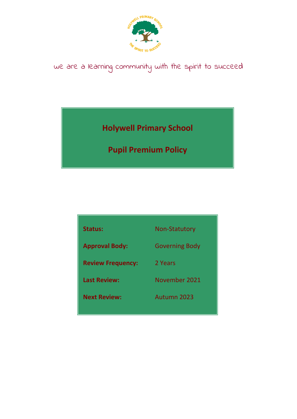

# we are a learning community with the spirit to succeed

**Holywell Primary School**

**Pupil Premium Policy**

| Status:                  | <b>Non-Statutory</b>  |
|--------------------------|-----------------------|
|                          |                       |
| <b>Approval Body:</b>    | <b>Governing Body</b> |
|                          |                       |
| <b>Review Frequency:</b> | 2 Years               |
| <b>Last Review:</b>      | November 2021         |
|                          |                       |
| <b>Next Review:</b>      | Autumn 2023           |
|                          |                       |
|                          |                       |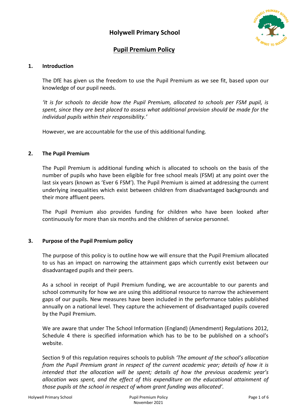

# **Pupil Premium Policy**

#### **1. Introduction**

The DfE has given us the freedom to use the Pupil Premium as we see fit, based upon our knowledge of our pupil needs.

*'It is for schools to decide how the Pupil Premium, allocated to schools per FSM pupil, is spent, since they are best placed to assess what additional provision should be made for the individual pupils within their responsibility.'* 

However, we are accountable for the use of this additional funding.

#### **2. The Pupil Premium**

The Pupil Premium is additional funding which is allocated to schools on the basis of the number of pupils who have been eligible for free school meals (FSM) at any point over the last six years (known as 'Ever 6 FSM'). The Pupil Premium is aimed at addressing the current underlying inequalities which exist between children from disadvantaged backgrounds and their more affluent peers.

The Pupil Premium also provides funding for children who have been looked after continuously for more than six months and the children of service personnel.

#### **3. Purpose of the Pupil Premium policy**

The purpose of this policy is to outline how we will ensure that the Pupil Premium allocated to us has an impact on narrowing the attainment gaps which currently exist between our disadvantaged pupils and their peers.

As a school in receipt of Pupil Premium funding, we are accountable to our parents and school community for how we are using this additional resource to narrow the achievement gaps of our pupils. New measures have been included in the performance tables published annually on a national level. They capture the achievement of disadvantaged pupils covered by the Pupil Premium.

We are aware that under The School Information (England) (Amendment) Regulations 2012, Schedule 4 there is specified information which has to be to be published on a school's website.

Section 9 of this regulation requires schools to publish *'The amount of the school's allocation from the Pupil Premium grant in respect of the current academic year; details of how it is intended that the allocation will be spent; details of how the previous academic year's allocation was spent, and the effect of this expenditure on the educational attainment of those pupils at the school in respect of whom grant funding was allocated'.*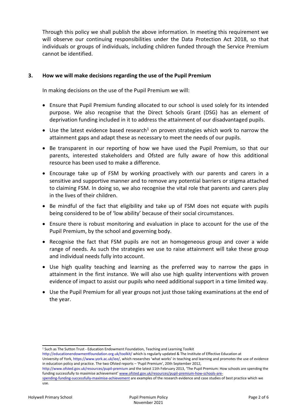Through this policy we shall publish the above information. In meeting this requirement we will observe our continuing responsibilities under the Data Protection Act 2018, so that individuals or groups of individuals, including children funded through the Service Premium cannot be identified.

#### **3. How we will make decisions regarding the use of the Pupil Premium**

In making decisions on the use of the Pupil Premium we will:

- Ensure that Pupil Premium funding allocated to our school is used solely for its intended purpose. We also recognise that the Direct Schools Grant (DSG) has an element of deprivation funding included in it to address the attainment of our disadvantaged pupils.
- $\bullet$  Use the latest evidence based research<sup>1</sup> on proven strategies which work to narrow the attainment gaps and adapt these as necessary to meet the needs of our pupils.
- Be transparent in our reporting of how we have used the Pupil Premium, so that our parents, interested stakeholders and Ofsted are fully aware of how this additional resource has been used to make a difference.
- Encourage take up of FSM by working proactively with our parents and carers in a sensitive and supportive manner and to remove any potential barriers or stigma attached to claiming FSM. In doing so, we also recognise the vital role that parents and carers play in the lives of their children.
- Be mindful of the fact that eligibility and take up of FSM does not equate with pupils being considered to be of 'low ability' because of their social circumstances.
- Ensure there is robust monitoring and evaluation in place to account for the use of the Pupil Premium, by the school and governing body.
- Recognise the fact that FSM pupils are not an homogeneous group and cover a wide range of needs. As such the strategies we use to raise attainment will take these group and individual needs fully into account.
- Use high quality teaching and learning as the preferred way to narrow the gaps in attainment in the first instance. We will also use high quality interventions with proven evidence of impact to assist our pupils who need additional support in a time limited way.
- Use the Pupil Premium for all year groups not just those taking examinations at the end of the year.

<sup>&</sup>lt;sup>1</sup> Such as The Sutton Trust - Education Endowment Foundation, Teaching and Learning Toolkit

http://educationendowmentfoundation.org.uk/toolkit/ which is regularly updated & The Institute of Effective Education at

University of York, https://www.york.ac.uk/iee/, which researches 'what works' in teaching and learning and promotes the use of evidence in education policy and practice. The two Ofsted reports – 'Pupil Premium', 20th September 2012,

http://www.ofsted.gov.uk/resources/pupil-premium and the latest 11th February 2013, 'The Pupil Premium: How schools are spending the funding successfully to maximise achievement' www.ofsted.g[ov.uk/resources/pupil‐premium‐how‐schools‐are](http://www.ofsted.gov.uk/resources/pupil‐premium‐how‐schools‐are-spending‐funding‐successfully‐maximise‐achievement)-

spending-funding-successfully-maximise-achievement are examples of the research evidence and case studies of best practice which we use.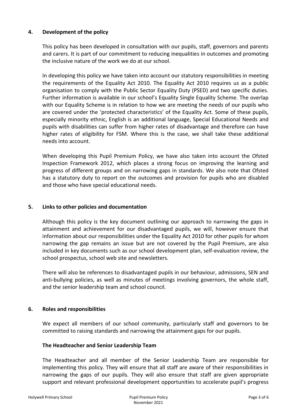# **4. Development of the policy**

This policy has been developed in consultation with our pupils, staff, governors and parents and carers. It is part of our commitment to reducing inequalities in outcomes and promoting the inclusive nature of the work we do at our school.

In developing this policy we have taken into account our statutory responsibilities in meeting the requirements of the Equality Act 2010. The Equality Act 2010 requires us as a public organisation to comply with the Public Sector Equality Duty (PSED) and two specific duties. Further information is available in our school's Equality Single Equality Scheme. The overlap with our Equality Scheme is in relation to how we are meeting the needs of our pupils who are covered under the 'protected characteristics' of the Equality Act. Some of these pupils, especially minority ethnic, English is an additional language, Special Educational Needs and pupils with disabilities can suffer from higher rates of disadvantage and therefore can have higher rates of eligibility for FSM. Where this is the case, we shall take these additional needs into account.

When developing this Pupil Premium Policy, we have also taken into account the Ofsted Inspection Framework 2012, which places a strong focus on improving the learning and progress of different groups and on narrowing gaps in standards. We also note that Ofsted has a statutory duty to report on the outcomes and provision for pupils who are disabled and those who have special educational needs.

#### **5. Links to other policies and documentation**

Although this policy is the key document outlining our approach to narrowing the gaps in attainment and achievement for our disadvantaged pupils, we will, however ensure that information about our responsibilities under the Equality Act 2010 for other pupils for whom narrowing the gap remains an issue but are not covered by the Pupil Premium, are also included in key documents such as our school development plan, self-evaluation review, the school prospectus, school web site and newsletters.

There will also be references to disadvantaged pupils in our behaviour, admissions, SEN and anti-bullying policies, as well as minutes of meetings involving governors, the whole staff, and the senior leadership team and school council.

#### **6. Roles and responsibilities**

We expect all members of our school community, particularly staff and governors to be committed to raising standards and narrowing the attainment gaps for our pupils.

#### **The Headteacher and Senior Leadership Team**

The Headteacher and all member of the Senior Leadership Team are responsible for implementing this policy. They will ensure that all staff are aware of their responsibilities in narrowing the gaps of our pupils. They will also ensure that staff are given appropriate support and relevant professional development opportunities to accelerate pupil's progress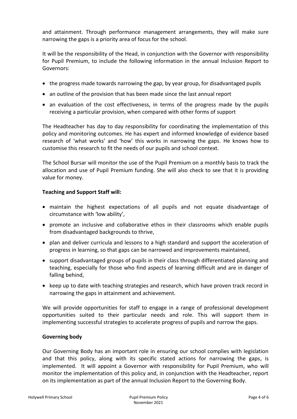and attainment. Through performance management arrangements, they will make sure narrowing the gaps is a priority area of focus for the school.

It will be the responsibility of the Head, in conjunction with the Governor with responsibility for Pupil Premium, to include the following information in the annual Inclusion Report to Governors:

- the progress made towards narrowing the gap, by year group, for disadvantaged pupils
- an outline of the provision that has been made since the last annual report
- an evaluation of the cost effectiveness, in terms of the progress made by the pupils receiving a particular provision, when compared with other forms of support

The Headteacher has day to day responsibility for coordinating the implementation of this policy and monitoring outcomes. He has expert and informed knowledge of evidence based research of 'what works' and 'how' this works in narrowing the gaps. He knows how to customise this research to fit the needs of our pupils and school context.

The School Bursar will monitor the use of the Pupil Premium on a monthly basis to track the allocation and use of Pupil Premium funding. She will also check to see that it is providing value for money.

#### **Teaching and Support Staff will:**

- maintain the highest expectations of all pupils and not equate disadvantage of circumstance with 'low ability',
- promote an inclusive and collaborative ethos in their classrooms which enable pupils from disadvantaged backgrounds to thrive,
- plan and deliver curricula and lessons to a high standard and support the acceleration of progress in learning, so that gaps can be narrowed and improvements maintained,
- support disadvantaged groups of pupils in their class through differentiated planning and teaching, especially for those who find aspects of learning difficult and are in danger of falling behind,
- keep up to date with teaching strategies and research, which have proven track record in narrowing the gaps in attainment and achievement.

We will provide opportunities for staff to engage in a range of professional development opportunities suited to their particular needs and role. This will support them in implementing successful strategies to accelerate progress of pupils and narrow the gaps.

#### **Governing body**

Our Governing Body has an important role in ensuring our school complies with legislation and that this policy, along with its specific stated actions for narrowing the gaps, is implemented. It will appoint a Governor with responsibility for Pupil Premium, who will monitor the implementation of this policy and, in conjunction with the Headteacher, report on its implementation as part of the annual Inclusion Report to the Governing Body.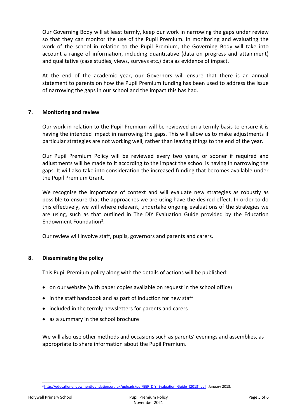Our Governing Body will at least termly, keep our work in narrowing the gaps under review so that they can monitor the use of the Pupil Premium. In monitoring and evaluating the work of the school in relation to the Pupil Premium, the Governing Body will take into account a range of information, including quantitative (data on progress and attainment) and qualitative (case studies, views, surveys etc.) data as evidence of impact.

At the end of the academic year, our Governors will ensure that there is an annual statement to parents on how the Pupil Premium funding has been used to address the issue of narrowing the gaps in our school and the impact this has had.

#### **7. Monitoring and review**

Our work in relation to the Pupil Premium will be reviewed on a termly basis to ensure it is having the intended impact in narrowing the gaps. This will allow us to make adjustments if particular strategies are not working well, rather than leaving things to the end of the year.

Our Pupil Premium Policy will be reviewed every two years, or sooner if required and adjustments will be made to it according to the impact the school is having in narrowing the gaps. It will also take into consideration the increased funding that becomes available under the Pupil Premium Grant.

We recognise the importance of context and will evaluate new strategies as robustly as possible to ensure that the approaches we are using have the desired effect. In order to do this effectively, we will where relevant, undertake ongoing evaluations of the strategies we are using, such as that outlined in The DIY Evaluation Guide provided by the Education Endowment Foundation<sup>2</sup>.

Our review will involve staff, pupils, governors and parents and carers.

#### **8. Disseminating the policy**

This Pupil Premium policy along with the details of actions will be published:

- on our website (with paper copies available on request in the school office)
- in the staff handbook and as part of induction for new staff
- included in the termly newsletters for parents and carers
- as a summary in the school brochure

We will also use other methods and occasions such as parents' evenings and assemblies, as appropriate to share information about the Pupil Premium.

<sup>&</sup>lt;sup>2</sup> [http://educationendowmentfoundation.org.uk/uploads/pdf/EEF\\_DIY\\_Evaluation\\_Guide\\_\(2013\).pdf](http://educationendowmentfoundation.org.uk/uploads/pdf/EEF_DIY_Evaluation_Guide_(2013).pdf) January 2013.